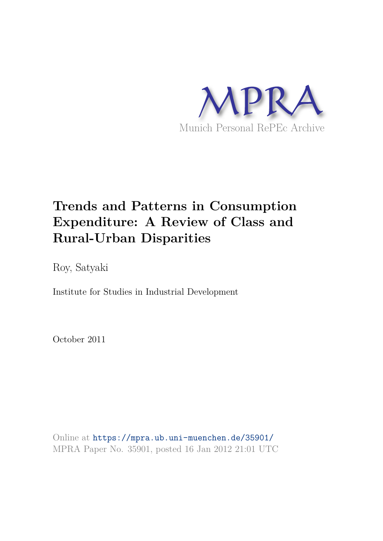

# **Trends and Patterns in Consumption Expenditure: A Review of Class and Rural-Urban Disparities**

Roy, Satyaki

Institute for Studies in Industrial Development

October 2011

Online at https://mpra.ub.uni-muenchen.de/35901/ MPRA Paper No. 35901, posted 16 Jan 2012 21:01 UTC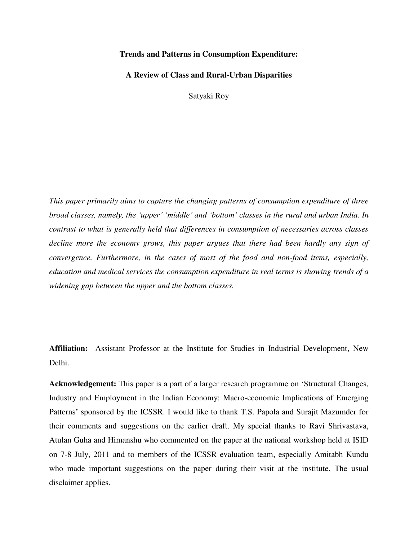## **Trends and Patterns in Consumption Expenditure:**

**A Review of Class and Rural-Urban Disparities** 

Satyaki Roy

*This paper primarily aims to capture the changing patterns of consumption expenditure of three broad classes, namely, the 'upper' 'middle' and 'bottom' classes in the rural and urban India. In contrast to what is generally held that differences in consumption of necessaries across classes decline more the economy grows, this paper argues that there had been hardly any sign of convergence. Furthermore, in the cases of most of the food and non-food items, especially, education and medical services the consumption expenditure in real terms is showing trends of a widening gap between the upper and the bottom classes.*

**Affiliation:** Assistant Professor at the Institute for Studies in Industrial Development, New Delhi.

**Acknowledgement:** This paper is a part of a larger research programme on 'Structural Changes, Industry and Employment in the Indian Economy: Macro-economic Implications of Emerging Patterns' sponsored by the ICSSR. I would like to thank T.S. Papola and Surajit Mazumder for their comments and suggestions on the earlier draft. My special thanks to Ravi Shrivastava, Atulan Guha and Himanshu who commented on the paper at the national workshop held at ISID on 7-8 July, 2011 and to members of the ICSSR evaluation team, especially Amitabh Kundu who made important suggestions on the paper during their visit at the institute. The usual disclaimer applies.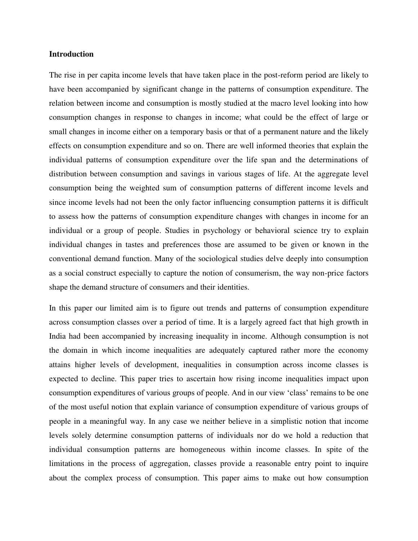## **Introduction**

The rise in per capita income levels that have taken place in the post-reform period are likely to have been accompanied by significant change in the patterns of consumption expenditure. The relation between income and consumption is mostly studied at the macro level looking into how consumption changes in response to changes in income; what could be the effect of large or small changes in income either on a temporary basis or that of a permanent nature and the likely effects on consumption expenditure and so on. There are well informed theories that explain the individual patterns of consumption expenditure over the life span and the determinations of distribution between consumption and savings in various stages of life. At the aggregate level consumption being the weighted sum of consumption patterns of different income levels and since income levels had not been the only factor influencing consumption patterns it is difficult to assess how the patterns of consumption expenditure changes with changes in income for an individual or a group of people. Studies in psychology or behavioral science try to explain individual changes in tastes and preferences those are assumed to be given or known in the conventional demand function. Many of the sociological studies delve deeply into consumption as a social construct especially to capture the notion of consumerism, the way non-price factors shape the demand structure of consumers and their identities.

In this paper our limited aim is to figure out trends and patterns of consumption expenditure across consumption classes over a period of time. It is a largely agreed fact that high growth in India had been accompanied by increasing inequality in income. Although consumption is not the domain in which income inequalities are adequately captured rather more the economy attains higher levels of development, inequalities in consumption across income classes is expected to decline. This paper tries to ascertain how rising income inequalities impact upon consumption expenditures of various groups of people. And in our view 'class' remains to be one of the most useful notion that explain variance of consumption expenditure of various groups of people in a meaningful way. In any case we neither believe in a simplistic notion that income levels solely determine consumption patterns of individuals nor do we hold a reduction that individual consumption patterns are homogeneous within income classes. In spite of the limitations in the process of aggregation, classes provide a reasonable entry point to inquire about the complex process of consumption. This paper aims to make out how consumption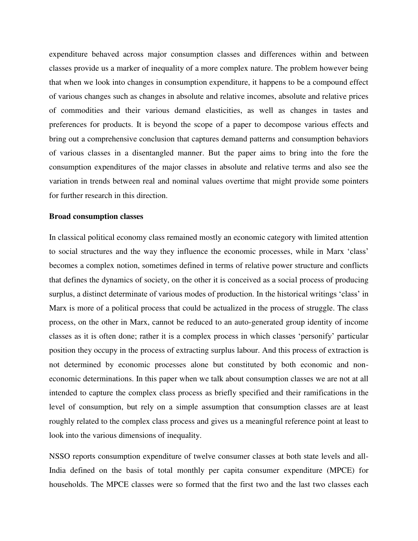expenditure behaved across major consumption classes and differences within and between classes provide us a marker of inequality of a more complex nature. The problem however being that when we look into changes in consumption expenditure, it happens to be a compound effect of various changes such as changes in absolute and relative incomes, absolute and relative prices of commodities and their various demand elasticities, as well as changes in tastes and preferences for products. It is beyond the scope of a paper to decompose various effects and bring out a comprehensive conclusion that captures demand patterns and consumption behaviors of various classes in a disentangled manner. But the paper aims to bring into the fore the consumption expenditures of the major classes in absolute and relative terms and also see the variation in trends between real and nominal values overtime that might provide some pointers for further research in this direction.

#### **Broad consumption classes**

In classical political economy class remained mostly an economic category with limited attention to social structures and the way they influence the economic processes, while in Marx 'class' becomes a complex notion, sometimes defined in terms of relative power structure and conflicts that defines the dynamics of society, on the other it is conceived as a social process of producing surplus, a distinct determinate of various modes of production. In the historical writings 'class' in Marx is more of a political process that could be actualized in the process of struggle. The class process, on the other in Marx, cannot be reduced to an auto-generated group identity of income classes as it is often done; rather it is a complex process in which classes 'personify' particular position they occupy in the process of extracting surplus labour. And this process of extraction is not determined by economic processes alone but constituted by both economic and noneconomic determinations. In this paper when we talk about consumption classes we are not at all intended to capture the complex class process as briefly specified and their ramifications in the level of consumption, but rely on a simple assumption that consumption classes are at least roughly related to the complex class process and gives us a meaningful reference point at least to look into the various dimensions of inequality.

NSSO reports consumption expenditure of twelve consumer classes at both state levels and all-India defined on the basis of total monthly per capita consumer expenditure (MPCE) for households. The MPCE classes were so formed that the first two and the last two classes each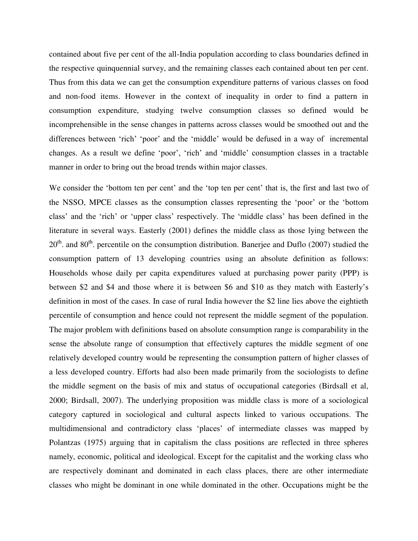contained about five per cent of the all-India population according to class boundaries defined in the respective quinquennial survey, and the remaining classes each contained about ten per cent. Thus from this data we can get the consumption expenditure patterns of various classes on food and non-food items. However in the context of inequality in order to find a pattern in consumption expenditure, studying twelve consumption classes so defined would be incomprehensible in the sense changes in patterns across classes would be smoothed out and the differences between 'rich' 'poor' and the 'middle' would be defused in a way of incremental changes. As a result we define 'poor', 'rich' and 'middle' consumption classes in a tractable manner in order to bring out the broad trends within major classes.

We consider the 'bottom ten per cent' and the 'top ten per cent' that is, the first and last two of the NSSO, MPCE classes as the consumption classes representing the 'poor' or the 'bottom class' and the 'rich' or 'upper class' respectively. The 'middle class' has been defined in the literature in several ways. Easterly (2001) defines the middle class as those lying between the  $20<sup>th</sup>$  and  $80<sup>th</sup>$  percentile on the consumption distribution. Banerjee and Duflo (2007) studied the consumption pattern of 13 developing countries using an absolute definition as follows: Households whose daily per capita expenditures valued at purchasing power parity (PPP) is between \$2 and \$4 and those where it is between \$6 and \$10 as they match with Easterly's definition in most of the cases. In case of rural India however the \$2 line lies above the eightieth percentile of consumption and hence could not represent the middle segment of the population. The major problem with definitions based on absolute consumption range is comparability in the sense the absolute range of consumption that effectively captures the middle segment of one relatively developed country would be representing the consumption pattern of higher classes of a less developed country. Efforts had also been made primarily from the sociologists to define the middle segment on the basis of mix and status of occupational categories (Birdsall et al, 2000; Birdsall, 2007). The underlying proposition was middle class is more of a sociological category captured in sociological and cultural aspects linked to various occupations. The multidimensional and contradictory class 'places' of intermediate classes was mapped by Polantzas (1975) arguing that in capitalism the class positions are reflected in three spheres namely, economic, political and ideological. Except for the capitalist and the working class who are respectively dominant and dominated in each class places, there are other intermediate classes who might be dominant in one while dominated in the other. Occupations might be the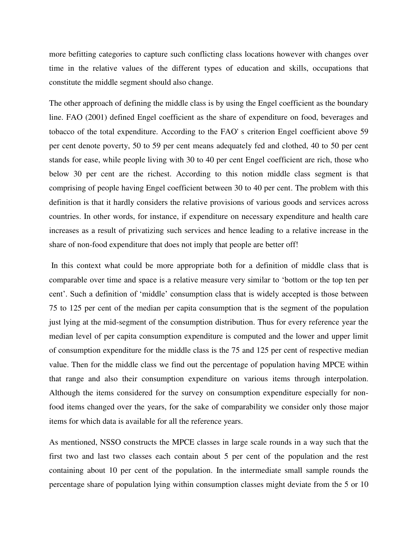more befitting categories to capture such conflicting class locations however with changes over time in the relative values of the different types of education and skills, occupations that constitute the middle segment should also change.

The other approach of defining the middle class is by using the Engel coefficient as the boundary line. FAO (2001) defined Engel coefficient as the share of expenditure on food, beverages and tobacco of the total expenditure. According to the FAO' s criterion Engel coefficient above 59 per cent denote poverty, 50 to 59 per cent means adequately fed and clothed, 40 to 50 per cent stands for ease, while people living with 30 to 40 per cent Engel coefficient are rich, those who below 30 per cent are the richest. According to this notion middle class segment is that comprising of people having Engel coefficient between 30 to 40 per cent. The problem with this definition is that it hardly considers the relative provisions of various goods and services across countries. In other words, for instance, if expenditure on necessary expenditure and health care increases as a result of privatizing such services and hence leading to a relative increase in the share of non-food expenditure that does not imply that people are better off!

 In this context what could be more appropriate both for a definition of middle class that is comparable over time and space is a relative measure very similar to 'bottom or the top ten per cent'. Such a definition of 'middle' consumption class that is widely accepted is those between 75 to 125 per cent of the median per capita consumption that is the segment of the population just lying at the mid-segment of the consumption distribution. Thus for every reference year the median level of per capita consumption expenditure is computed and the lower and upper limit of consumption expenditure for the middle class is the 75 and 125 per cent of respective median value. Then for the middle class we find out the percentage of population having MPCE within that range and also their consumption expenditure on various items through interpolation. Although the items considered for the survey on consumption expenditure especially for nonfood items changed over the years, for the sake of comparability we consider only those major items for which data is available for all the reference years.

As mentioned, NSSO constructs the MPCE classes in large scale rounds in a way such that the first two and last two classes each contain about 5 per cent of the population and the rest containing about 10 per cent of the population. In the intermediate small sample rounds the percentage share of population lying within consumption classes might deviate from the 5 or 10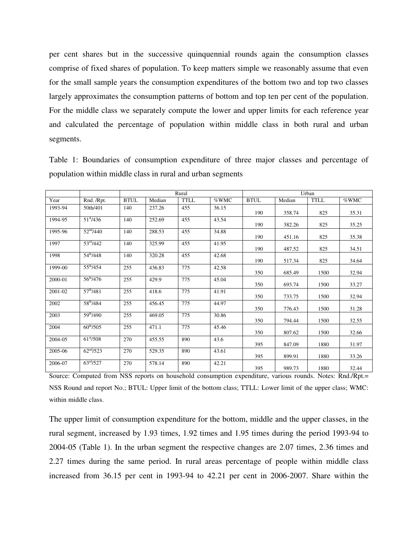per cent shares but in the successive quinquennial rounds again the consumption classes comprise of fixed shares of population. To keep matters simple we reasonably assume that even for the small sample years the consumption expenditures of the bottom two and top two classes largely approximates the consumption patterns of bottom and top ten per cent of the population. For the middle class we separately compute the lower and upper limits for each reference year and calculated the percentage of population within middle class in both rural and urban segments.

|         |                       |             |        | Rural       |       |             |        |             |       |
|---------|-----------------------|-------------|--------|-------------|-------|-------------|--------|-------------|-------|
| Year    | Rnd. /Rpt.            | <b>BTUL</b> | Median | <b>TTLL</b> | %WMC  | <b>BTUL</b> | Median | <b>TTLL</b> | %WMC  |
| 1993-94 | 50th/401              | 140         | 237.26 | 455         | 36.15 | 190         | 358.74 | 825         | 35.31 |
| 1994-95 | $51^{\text{st}}/436$  | 140         | 252.69 | 455         | 43.54 | 190         | 382.26 | 825         | 35.25 |
| 1995-96 | 52 <sup>nd</sup> /440 | 140         | 288.53 | 455         | 34.88 | 190         | 451.16 | 825         | 35.38 |
| 1997    | $53^{\rm rd}/442$     | 140         | 325.99 | 455         | 41.95 | 190         | 487.52 | 825         | 34.51 |
| 1998    | $54^{th}/448$         | 140         | 320.28 | 455         | 42.68 | 190         | 517.34 | 825         | 34.64 |
| 1999-00 | $55^{th}/454$         | 255         | 436.83 | 775         | 42.58 | 350         | 685.49 | 1500        | 32.94 |
| 2000-01 | $56^{\text{th}}/476$  | 255         | 429.9  | 775         | 45.04 | 350         | 693.74 | 1500        | 33.27 |
| 2001-02 | $57^{\rm th}/481$     | 255         | 418.6  | 775         | 41.91 | 350         | 733.75 | 1500        | 32.94 |
| 2002    | 58 <sup>th</sup> /484 | 255         | 456.45 | 775         | 44.97 | 350         | 776.43 | 1500        | 31.28 |
| 2003    | 59 <sup>th</sup> /490 | 255         | 469.05 | 775         | 30.86 | 350         | 794.44 | 1500        | 32.55 |
| 2004    | $60^{th}/505$         | 255         | 471.1  | 775         | 45.46 | 350         | 807.62 | 1500        | 32.66 |
| 2004-05 | $61^{\rm st}/508$     | 270         | 455.55 | 890         | 43.6  | 395         | 847.09 | 1880        | 31.97 |
| 2005-06 | 62 <sup>nd</sup> /523 | 270         | 529.35 | 890         | 43.61 | 395         | 899.91 | 1880        | 33.26 |
| 2006-07 | $63^{\rm rd}/527$     | 270         | 578.14 | 890         | 42.21 | 395         | 989.73 | 1880        | 32.44 |

Table 1: Boundaries of consumption expenditure of three major classes and percentage of population within middle class in rural and urban segments

Source: Computed from NSS reports on household consumption expenditure, various rounds. Notes: Rnd./Rpt.= NSS Round and report No.; BTUL: Upper limit of the bottom class; TTLL: Lower limit of the upper class; WMC: within middle class.

The upper limit of consumption expenditure for the bottom, middle and the upper classes, in the rural segment, increased by 1.93 times, 1.92 times and 1.95 times during the period 1993-94 to 2004-05 (Table 1). In the urban segment the respective changes are 2.07 times, 2.36 times and 2.27 times during the same period. In rural areas percentage of people within middle class increased from 36.15 per cent in 1993-94 to 42.21 per cent in 2006-2007. Share within the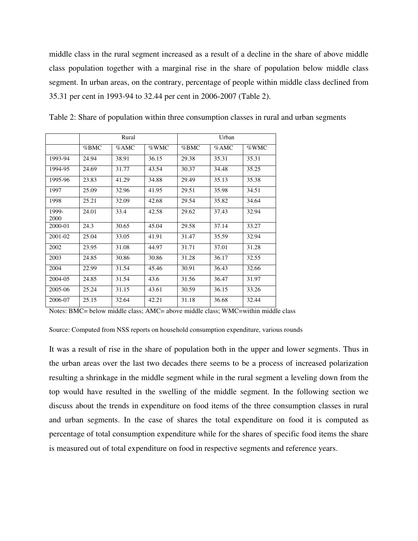middle class in the rural segment increased as a result of a decline in the share of above middle class population together with a marginal rise in the share of population below middle class segment. In urban areas, on the contrary, percentage of people within middle class declined from 35.31 per cent in 1993-94 to 32.44 per cent in 2006-2007 (Table 2).

|               |         | Rural |       | Urban |       |       |  |  |
|---------------|---------|-------|-------|-------|-------|-------|--|--|
|               | $%$ BMC | %AMC  | %WMC  | %BMC  | %AMC  | %WMC  |  |  |
| 1993-94       | 24.94   | 38.91 | 36.15 | 29.38 | 35.31 | 35.31 |  |  |
| 1994-95       | 24.69   | 31.77 | 43.54 | 30.37 | 34.48 | 35.25 |  |  |
| 1995-96       | 23.83   | 41.29 | 34.88 | 29.49 | 35.13 | 35.38 |  |  |
| 1997          | 25.09   | 32.96 | 41.95 | 29.51 | 35.98 | 34.51 |  |  |
| 1998          | 25.21   | 32.09 | 42.68 | 29.54 | 35.82 | 34.64 |  |  |
| 1999-<br>2000 | 24.01   | 33.4  | 42.58 | 29.62 | 37.43 | 32.94 |  |  |
| 2000-01       | 24.3    | 30.65 | 45.04 | 29.58 | 37.14 | 33.27 |  |  |
| 2001-02       | 25.04   | 33.05 | 41.91 | 31.47 | 35.59 | 32.94 |  |  |
| 2002          | 23.95   | 31.08 | 44.97 | 31.71 | 37.01 | 31.28 |  |  |
| 2003          | 24.85   | 30.86 | 30.86 | 31.28 | 36.17 | 32.55 |  |  |
| 2004          | 22.99   | 31.54 | 45.46 | 30.91 | 36.43 | 32.66 |  |  |
| 2004-05       | 24.85   | 31.54 | 43.6  | 31.56 | 36.47 | 31.97 |  |  |
| 2005-06       | 25.24   | 31.15 | 43.61 | 30.59 | 36.15 | 33.26 |  |  |
| 2006-07       | 25.15   | 32.64 | 42.21 | 31.18 | 36.68 | 32.44 |  |  |

Table 2: Share of population within three consumption classes in rural and urban segments

Notes: BMC= below middle class; AMC= above middle class; WMC=within middle class

Source: Computed from NSS reports on household consumption expenditure, various rounds

It was a result of rise in the share of population both in the upper and lower segments. Thus in the urban areas over the last two decades there seems to be a process of increased polarization resulting a shrinkage in the middle segment while in the rural segment a leveling down from the top would have resulted in the swelling of the middle segment. In the following section we discuss about the trends in expenditure on food items of the three consumption classes in rural and urban segments. In the case of shares the total expenditure on food it is computed as percentage of total consumption expenditure while for the shares of specific food items the share is measured out of total expenditure on food in respective segments and reference years.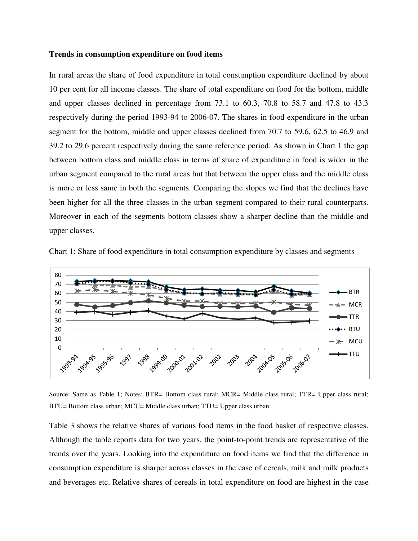## **Trends in consumption expenditure on food items**

In rural areas the share of food expenditure in total consumption expenditure declined by about 10 per cent for all income classes. The share of total expenditure on food for the bottom, middle and upper classes declined in percentage from 73.1 to 60.3, 70.8 to 58.7 and 47.8 to 43.3 respectively during the period 1993-94 to 2006-07. The shares in food expenditure in the urban segment for the bottom, middle and upper classes declined from 70.7 to 59.6, 62.5 to 46.9 and 39.2 to 29.6 percent respectively during the same reference period. As shown in Chart 1 the gap between bottom class and middle class in terms of share of expenditure in food is wider in the urban segment compared to the rural areas but that between the upper class and the middle class is more or less same in both the segments. Comparing the slopes we find that the declines have been higher for all the three classes in the urban segment compared to their rural counterparts. Moreover in each of the segments bottom classes show a sharper decline than the middle and upper classes.





Source: Same as Table 1; Notes: BTR= Bottom class rural; MCR= Middle class rural; TTR= Upper class rural; BTU= Bottom class urban; MCU= Middle class urban; TTU= Upper class urban

Table 3 shows the relative shares of various food items in the food basket of respective classes. Although the table reports data for two years, the point-to-point trends are representative of the trends over the years. Looking into the expenditure on food items we find that the difference in consumption expenditure is sharper across classes in the case of cereals, milk and milk products and beverages etc. Relative shares of cereals in total expenditure on food are highest in the case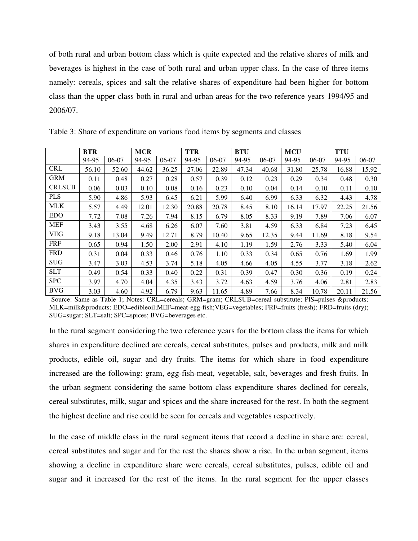of both rural and urban bottom class which is quite expected and the relative shares of milk and beverages is highest in the case of both rural and urban upper class. In the case of three items namely: cereals, spices and salt the relative shares of expenditure had been higher for bottom class than the upper class both in rural and urban areas for the two reference years 1994/95 and 2006/07.

|               | <b>BTR</b> |         | <b>MCR</b> |         | <b>TTR</b> |         | <b>BTU</b> |       | <b>MCU</b> |       | <b>TTU</b> |       |
|---------------|------------|---------|------------|---------|------------|---------|------------|-------|------------|-------|------------|-------|
|               | 94-95      | $06-07$ | 94-95      | $06-07$ | 94-95      | $06-07$ | 94-95      | 06-07 | 94-95      | 06-07 | 94-95      | 06-07 |
| <b>CRL</b>    | 56.10      | 52.60   | 44.62      | 36.25   | 27.06      | 22.89   | 47.34      | 40.68 | 31.80      | 25.78 | 16.88      | 15.92 |
| <b>GRM</b>    | 0.11       | 0.48    | 0.27       | 0.28    | 0.57       | 0.39    | 0.12       | 0.23  | 0.29       | 0.34  | 0.48       | 0.30  |
| <b>CRLSUB</b> | 0.06       | 0.03    | 0.10       | 0.08    | 0.16       | 0.23    | 0.10       | 0.04  | 0.14       | 0.10  | 0.11       | 0.10  |
| <b>PLS</b>    | 5.90       | 4.86    | 5.93       | 6.45    | 6.21       | 5.99    | 6.40       | 6.99  | 6.33       | 6.32  | 4.43       | 4.78  |
| <b>MLK</b>    | 5.57       | 4.49    | 12.01      | 12.30   | 20.88      | 20.78   | 8.45       | 8.10  | 16.14      | 17.97 | 22.25      | 21.56 |
| <b>EDO</b>    | 7.72       | 7.08    | 7.26       | 7.94    | 8.15       | 6.79    | 8.05       | 8.33  | 9.19       | 7.89  | 7.06       | 6.07  |
| <b>MEF</b>    | 3.43       | 3.55    | 4.68       | 6.26    | 6.07       | 7.60    | 3.81       | 4.59  | 6.33       | 6.84  | 7.23       | 6.45  |
| <b>VEG</b>    | 9.18       | 13.04   | 9.49       | 12.71   | 8.79       | 10.40   | 9.65       | 12.35 | 9.44       | 11.69 | 8.18       | 9.54  |
| <b>FRF</b>    | 0.65       | 0.94    | 1.50       | 2.00    | 2.91       | 4.10    | 1.19       | 1.59  | 2.76       | 3.33  | 5.40       | 6.04  |
| <b>FRD</b>    | 0.31       | 0.04    | 0.33       | 0.46    | 0.76       | 1.10    | 0.33       | 0.34  | 0.65       | 0.76  | 1.69       | 1.99  |
| <b>SUG</b>    | 3.47       | 3.03    | 4.53       | 3.74    | 5.18       | 4.05    | 4.66       | 4.05  | 4.55       | 3.77  | 3.18       | 2.62  |
| <b>SLT</b>    | 0.49       | 0.54    | 0.33       | 0.40    | 0.22       | 0.31    | 0.39       | 0.47  | 0.30       | 0.36  | 0.19       | 0.24  |
| <b>SPC</b>    | 3.97       | 4.70    | 4.04       | 4.35    | 3.43       | 3.72    | 4.63       | 4.59  | 3.76       | 4.06  | 2.81       | 2.83  |
| <b>BVG</b>    | 3.03       | 4.60    | 4.92       | 6.79    | 9.63       | 11.65   | 4.89       | 7.66  | 8.34       | 10.78 | 20.11      | 21.56 |

Table 3: Share of expenditure on various food items by segments and classes

Source: Same as Table 1; Notes: CRL=cereals; GRM=gram; CRLSUB=cereal substitute; PlS=pulses &products; MLK=milk&products; EDO=edibleoil;MEF=meat-egg-fish;VEG=vegetables; FRF=fruits (fresh); FRD=fruits (dry); SUG=sugar; SLT=salt; SPC=spices; BVG=beverages etc.

In the rural segment considering the two reference years for the bottom class the items for which shares in expenditure declined are cereals, cereal substitutes, pulses and products, milk and milk products, edible oil, sugar and dry fruits. The items for which share in food expenditure increased are the following: gram, egg-fish-meat, vegetable, salt, beverages and fresh fruits. In the urban segment considering the same bottom class expenditure shares declined for cereals, cereal substitutes, milk, sugar and spices and the share increased for the rest. In both the segment the highest decline and rise could be seen for cereals and vegetables respectively.

In the case of middle class in the rural segment items that record a decline in share are: cereal, cereal substitutes and sugar and for the rest the shares show a rise. In the urban segment, items showing a decline in expenditure share were cereals, cereal substitutes, pulses, edible oil and sugar and it increased for the rest of the items. In the rural segment for the upper classes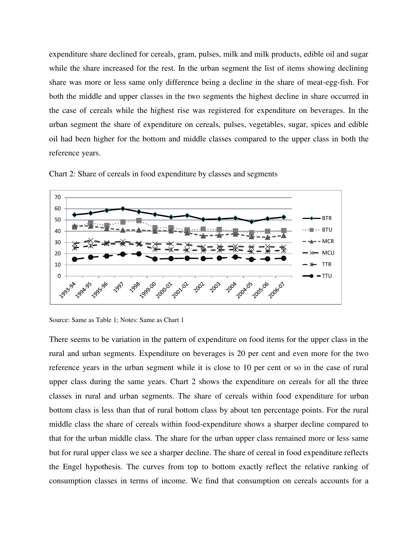expenditure share declined for cereals, gram, pulses, milk and milk products, edible oil and sugar while the share increased for the rest. In the urban segment the list of items showing declining share was more or less same only difference being a decline in the share of meat-egg-fish. For both the middle and upper classes in the two segments the highest decline in share occurred in the case of cereals while the highest rise was registered for expenditure on beverages. In the urban segment the share of expenditure on cereals, pulses, vegetables, sugar, spices and edible oil had been higher for the bottom and middle classes compared to the upper class in both the reference years.



Chart 2: Share of cereals in food expenditure by classes and segments

There seems to be variation in the pattern of expenditure on food items for the upper class in the rural and urban segments. Expenditure on beverages is 20 per cent and even more for the two reference years in the urban segment while it is close to 10 per cent or so in the case of rural upper class during the same years. Chart 2 shows the expenditure on cereals for all the three classes in rural and urban segments. The share of cereals within food expenditure for urban bottom class is less than that of rural bottom class by about ten percentage points. For the rural middle class the share of cereals within food-expenditure shows a sharper decline compared to that for the urban middle class. The share for the urban upper class remained more or less same but for rural upper class we see a sharper decline. The share of cereal in food expenditure reflects the Engel hypothesis. The curves from top to bottom exactly reflect the relative ranking of consumption classes in terms of income. We find that consumption on cereals accounts for a

Source: Same as Table 1; Notes: Same as Chart 1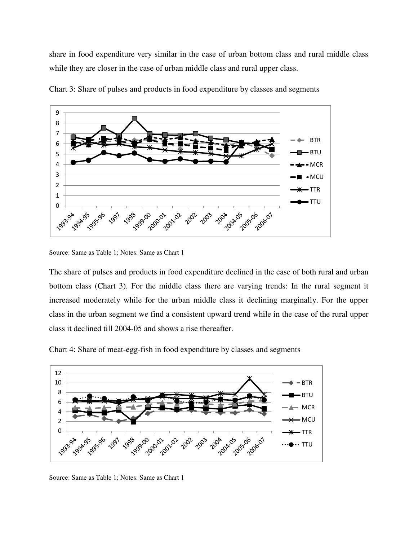share in food expenditure very similar in the case of urban bottom class and rural middle class while they are closer in the case of urban middle class and rural upper class.



Chart 3: Share of pulses and products in food expenditure by classes and segments

The share of pulses and products in food expenditure declined in the case of both rural and urban bottom class (Chart 3). For the middle class there are varying trends: In the rural segment it increased moderately while for the urban middle class it declining marginally. For the upper class in the urban segment we find a consistent upward trend while in the case of the rural upper class it declined till 2004-05 and shows a rise thereafter.

Chart 4: Share of meat-egg-fish in food expenditure by classes and segments



Source: Same as Table 1; Notes: Same as Chart 1

Source: Same as Table 1; Notes: Same as Chart 1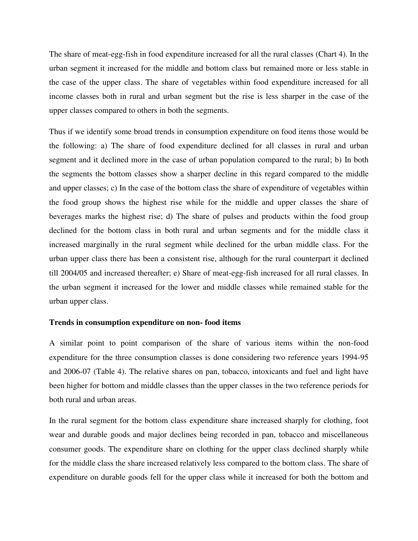The share of meat-egg-fish in food expenditure increased for all the rural classes (Chart 4). In the urban segment it increased for the middle and bottom class but remained more or less stable in the case of the upper class. The share of vegetables within food expenditure increased for all income classes both in rural and urban segment but the rise is less sharper in the case of the upper classes compared to others in both the segments.

Thus if we identify some broad trends in consumption expenditure on food items those would be the following: a) The share of food expenditure declined for all classes in rural and urban segment and it declined more in the case of urban population compared to the rural; b) In both the segments the bottom classes show a sharper decline in this regard compared to the middle and upper classes; c) In the case of the bottom class the share of expenditure of vegetables within the food group shows the highest rise while for the middle and upper classes the share of beverages marks the highest rise; d) The share of pulses and products within the food group declined for the bottom class in both rural and urban segments and for the middle class it increased marginally in the rural segment while declined for the urban middle class. For the urban upper class there has been a consistent rise, although for the rural counterpart it declined till 2004/05 and increased thereafter; e) Share of meat-egg-fish increased for all rural classes. In the urban segment it increased for the lower and middle classes while remained stable for the urban upper class.

# **Trends in consumption expenditure on non- food items**

A similar point to point comparison of the share of various items within the non-food expenditure for the three consumption classes is done considering two reference years 1994-95 and 2006-07 (Table 4). The relative shares on pan, tobacco, intoxicants and fuel and light have been higher for bottom and middle classes than the upper classes in the two reference periods for both rural and urban areas.

In the rural segment for the bottom class expenditure share increased sharply for clothing, foot wear and durable goods and major declines being recorded in pan, tobacco and miscellaneous consumer goods. The expenditure share on clothing for the upper class declined sharply while for the middle class the share increased relatively less compared to the bottom class. The share of expenditure on durable goods fell for the upper class while it increased for both the bottom and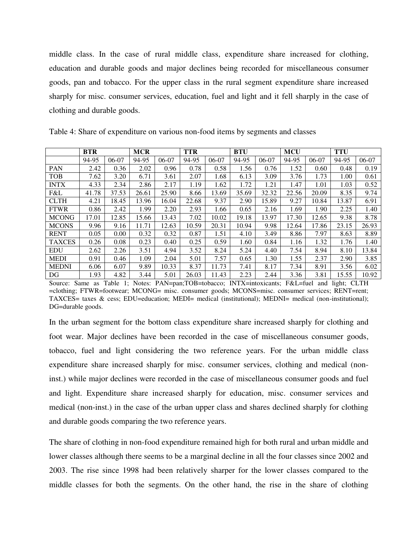middle class. In the case of rural middle class, expenditure share increased for clothing, education and durable goods and major declines being recorded for miscellaneous consumer goods, pan and tobacco. For the upper class in the rural segment expenditure share increased sharply for misc. consumer services, education, fuel and light and it fell sharply in the case of clothing and durable goods.

|               | <b>BTR</b> |         | <b>MCR</b> |         | <b>TTR</b> |         | <b>BTU</b> |         | <b>MCU</b> |         | <b>TTU</b> |       |
|---------------|------------|---------|------------|---------|------------|---------|------------|---------|------------|---------|------------|-------|
|               | 94-95      | $06-07$ | 94-95      | $06-07$ | 94-95      | $06-07$ | 94-95      | $06-07$ | 94-95      | $06-07$ | 94-95      | 06-07 |
| <b>PAN</b>    | 2.42       | 0.36    | 2.02       | 0.96    | 0.78       | 0.58    | 1.56       | 0.76    | 1.52       | 0.60    | 0.48       | 0.19  |
| <b>TOB</b>    | 7.62       | 3.20    | 6.71       | 3.61    | 2.07       | 1.68    | 6.13       | 3.09    | 3.76       | 1.73    | 1.00       | 0.61  |
| <b>INTX</b>   | 4.33       | 2.34    | 2.86       | 2.17    | 1.19       | 1.62    | 1.72       | 1.21    | 1.47       | 1.01    | 1.03       | 0.52  |
| F&L           | 41.78      | 37.53   | 26.61      | 25.90   | 8.66       | 13.69   | 35.69      | 32.32   | 22.56      | 20.09   | 8.35       | 9.74  |
| <b>CLTH</b>   | 4.21       | 18.45   | 13.96      | 16.04   | 22.68      | 9.37    | 2.90       | 15.89   | 9.27       | 10.84   | 13.87      | 6.91  |
| <b>FTWR</b>   | 0.86       | 2.42    | 1.99       | 2.20    | 2.93       | 1.66    | 0.65       | 2.16    | 1.69       | 1.90    | 2.25       | 1.40  |
| <b>MCONG</b>  | 17.01      | 12.85   | 15.66      | 13.43   | 7.02       | 10.02   | 19.18      | 13.97   | 17.30      | 12.65   | 9.38       | 8.78  |
| <b>MCONS</b>  | 9.96       | 9.16    | 11.71      | 12.63   | 10.59      | 20.31   | 10.94      | 9.98    | 12.64      | 17.86   | 23.15      | 26.93 |
| <b>RENT</b>   | 0.05       | 0.00    | 0.32       | 0.32    | 0.87       | 1.51    | 4.10       | 3.49    | 8.86       | 7.97    | 8.63       | 8.89  |
| <b>TAXCES</b> | 0.26       | 0.08    | 0.23       | 0.40    | 0.25       | 0.59    | 1.60       | 0.84    | 1.16       | 1.32    | 1.76       | 1.40  |
| <b>EDU</b>    | 2.62       | 2.26    | 3.51       | 4.94    | 3.52       | 8.24    | 5.24       | 4.40    | 7.54       | 8.94    | 8.10       | 13.84 |
| <b>MEDI</b>   | 0.91       | 0.46    | 1.09       | 2.04    | 5.01       | 7.57    | 0.65       | 1.30    | 1.55       | 2.37    | 2.90       | 3.85  |
| <b>MEDNI</b>  | 6.06       | 6.07    | 9.89       | 10.33   | 8.37       | 11.73   | 7.41       | 8.17    | 7.34       | 8.91    | 3.56       | 6.02  |
| DG            | 1.93       | 4.82    | 3.44       | 5.01    | 26.03      | 11.43   | 2.23       | 2.44    | 3.36       | 3.81    | 15.55      | 10.92 |

Table 4: Share of expenditure on various non-food items by segments and classes

Source: Same as Table 1; Notes: PAN=pan;TOB=tobacco; INTX=intoxicants; F&L=fuel and light; CLTH =clothing; FTWR=footwear; MCONG= misc. consumer goods; MCONS=misc. consumer services; RENT=rent; TAXCES= taxes & cess; EDU=education; MEDI= medical (institutional); MEDNI= medical (non-institutional); DG=durable goods.

In the urban segment for the bottom class expenditure share increased sharply for clothing and foot wear. Major declines have been recorded in the case of miscellaneous consumer goods, tobacco, fuel and light considering the two reference years. For the urban middle class expenditure share increased sharply for misc. consumer services, clothing and medical (noninst.) while major declines were recorded in the case of miscellaneous consumer goods and fuel and light. Expenditure share increased sharply for education, misc. consumer services and medical (non-inst.) in the case of the urban upper class and shares declined sharply for clothing and durable goods comparing the two reference years.

The share of clothing in non-food expenditure remained high for both rural and urban middle and lower classes although there seems to be a marginal decline in all the four classes since 2002 and 2003. The rise since 1998 had been relatively sharper for the lower classes compared to the middle classes for both the segments. On the other hand, the rise in the share of clothing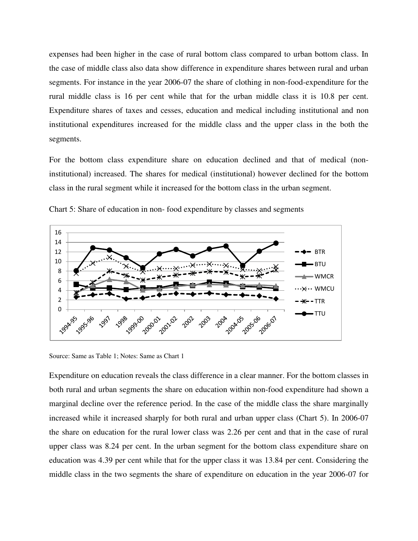expenses had been higher in the case of rural bottom class compared to urban bottom class. In the case of middle class also data show difference in expenditure shares between rural and urban segments. For instance in the year 2006-07 the share of clothing in non-food-expenditure for the rural middle class is 16 per cent while that for the urban middle class it is 10.8 per cent. Expenditure shares of taxes and cesses, education and medical including institutional and non institutional expenditures increased for the middle class and the upper class in the both the segments.

For the bottom class expenditure share on education declined and that of medical (noninstitutional) increased. The shares for medical (institutional) however declined for the bottom class in the rural segment while it increased for the bottom class in the urban segment.



Chart 5: Share of education in non- food expenditure by classes and segments

Source: Same as Table 1; Notes: Same as Chart 1

Expenditure on education reveals the class difference in a clear manner. For the bottom classes in both rural and urban segments the share on education within non-food expenditure had shown a marginal decline over the reference period. In the case of the middle class the share marginally increased while it increased sharply for both rural and urban upper class (Chart 5). In 2006-07 the share on education for the rural lower class was 2.26 per cent and that in the case of rural upper class was 8.24 per cent. In the urban segment for the bottom class expenditure share on education was 4.39 per cent while that for the upper class it was 13.84 per cent. Considering the middle class in the two segments the share of expenditure on education in the year 2006-07 for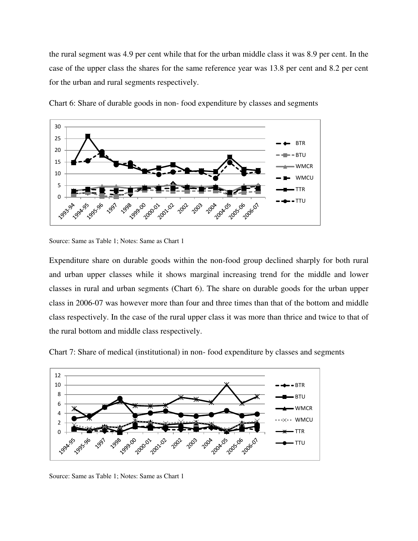the rural segment was 4.9 per cent while that for the urban middle class it was 8.9 per cent. In the case of the upper class the shares for the same reference year was 13.8 per cent and 8.2 per cent for the urban and rural segments respectively.



Chart 6: Share of durable goods in non- food expenditure by classes and segments

Expenditure share on durable goods within the non-food group declined sharply for both rural and urban upper classes while it shows marginal increasing trend for the middle and lower classes in rural and urban segments (Chart 6). The share on durable goods for the urban upper class in 2006-07 was however more than four and three times than that of the bottom and middle class respectively. In the case of the rural upper class it was more than thrice and twice to that of the rural bottom and middle class respectively.

Chart 7: Share of medical (institutional) in non- food expenditure by classes and segments



Source: Same as Table 1; Notes: Same as Chart 1

Source: Same as Table 1; Notes: Same as Chart 1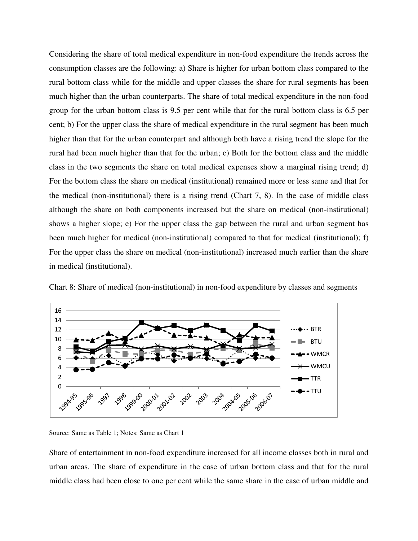Considering the share of total medical expenditure in non-food expenditure the trends across the consumption classes are the following: a) Share is higher for urban bottom class compared to the rural bottom class while for the middle and upper classes the share for rural segments has been much higher than the urban counterparts. The share of total medical expenditure in the non-food group for the urban bottom class is 9.5 per cent while that for the rural bottom class is 6.5 per cent; b) For the upper class the share of medical expenditure in the rural segment has been much higher than that for the urban counterpart and although both have a rising trend the slope for the rural had been much higher than that for the urban; c) Both for the bottom class and the middle class in the two segments the share on total medical expenses show a marginal rising trend; d) For the bottom class the share on medical (institutional) remained more or less same and that for the medical (non-institutional) there is a rising trend (Chart 7, 8). In the case of middle class although the share on both components increased but the share on medical (non-institutional) shows a higher slope; e) For the upper class the gap between the rural and urban segment has been much higher for medical (non-institutional) compared to that for medical (institutional); f) For the upper class the share on medical (non-institutional) increased much earlier than the share in medical (institutional).





Source: Same as Table 1; Notes: Same as Chart 1

Share of entertainment in non-food expenditure increased for all income classes both in rural and urban areas. The share of expenditure in the case of urban bottom class and that for the rural middle class had been close to one per cent while the same share in the case of urban middle and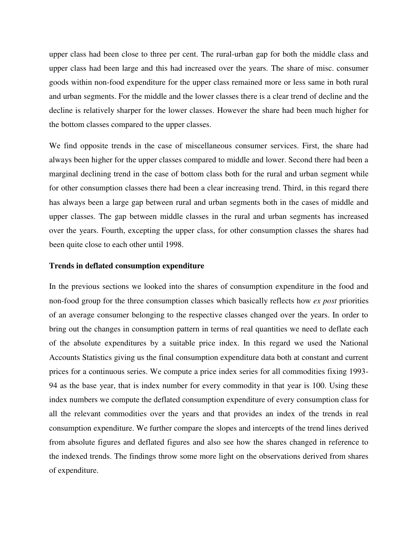upper class had been close to three per cent. The rural-urban gap for both the middle class and upper class had been large and this had increased over the years. The share of misc. consumer goods within non-food expenditure for the upper class remained more or less same in both rural and urban segments. For the middle and the lower classes there is a clear trend of decline and the decline is relatively sharper for the lower classes. However the share had been much higher for the bottom classes compared to the upper classes.

We find opposite trends in the case of miscellaneous consumer services. First, the share had always been higher for the upper classes compared to middle and lower. Second there had been a marginal declining trend in the case of bottom class both for the rural and urban segment while for other consumption classes there had been a clear increasing trend. Third, in this regard there has always been a large gap between rural and urban segments both in the cases of middle and upper classes. The gap between middle classes in the rural and urban segments has increased over the years. Fourth, excepting the upper class, for other consumption classes the shares had been quite close to each other until 1998.

#### **Trends in deflated consumption expenditure**

In the previous sections we looked into the shares of consumption expenditure in the food and non-food group for the three consumption classes which basically reflects how *ex post* priorities of an average consumer belonging to the respective classes changed over the years. In order to bring out the changes in consumption pattern in terms of real quantities we need to deflate each of the absolute expenditures by a suitable price index. In this regard we used the National Accounts Statistics giving us the final consumption expenditure data both at constant and current prices for a continuous series. We compute a price index series for all commodities fixing 1993- 94 as the base year, that is index number for every commodity in that year is 100. Using these index numbers we compute the deflated consumption expenditure of every consumption class for all the relevant commodities over the years and that provides an index of the trends in real consumption expenditure. We further compare the slopes and intercepts of the trend lines derived from absolute figures and deflated figures and also see how the shares changed in reference to the indexed trends. The findings throw some more light on the observations derived from shares of expenditure.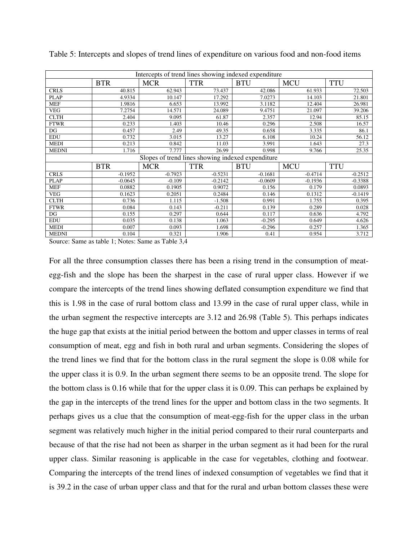| Intercepts of trend lines showing indexed expenditure |            |            |            |            |            |            |  |  |  |  |
|-------------------------------------------------------|------------|------------|------------|------------|------------|------------|--|--|--|--|
|                                                       | <b>BTR</b> | <b>MCR</b> | <b>TTR</b> | <b>BTU</b> | <b>MCU</b> | <b>TTU</b> |  |  |  |  |
| <b>CRLS</b>                                           | 40.815     | 62.943     | 73.437     | 42.086     | 61.933     | 72.503     |  |  |  |  |
| <b>PLAP</b>                                           | 4.9334     | 10.147     | 17.292     | 7.0273     | 14.103     | 21.801     |  |  |  |  |
| <b>MEF</b>                                            | 1.9816     | 6.653      | 13.992     | 3.1182     | 12.404     | 26.981     |  |  |  |  |
| <b>VEG</b>                                            | 7.2754     | 14.571     | 24.089     | 9.4751     | 21.097     | 39.206     |  |  |  |  |
| <b>CLTH</b>                                           | 2.404      | 9.095      | 61.87      | 2.357      | 12.94      | 85.15      |  |  |  |  |
| <b>FTWR</b>                                           | 0.233      | 1.403      | 10.46      | 0.296      | 2.508      | 16.57      |  |  |  |  |
| DG                                                    | 0.457      | 2.49       | 49.35      | 0.658      | 3.335      | 86.1       |  |  |  |  |
| <b>EDU</b>                                            | 0.732      | 3.015      | 13.27      | 6.108      | 10.24      | 56.12      |  |  |  |  |
| <b>MEDI</b>                                           | 0.213      | 0.842      | 11.03      | 3.991      | 1.643      | 27.3       |  |  |  |  |
| <b>MEDNI</b>                                          | 1.716      | 7.777      | 26.99      | 0.998      | 9.766      | 25.35      |  |  |  |  |
| Slopes of trend lines showing indexed expenditure     |            |            |            |            |            |            |  |  |  |  |
|                                                       | <b>BTR</b> | <b>MCR</b> | <b>TTR</b> | <b>BTU</b> | <b>MCU</b> | <b>TTU</b> |  |  |  |  |
| <b>CRLS</b>                                           | $-0.1952$  | $-0.7923$  | $-0.5231$  | $-0.1681$  | $-0.4714$  | $-0.2512$  |  |  |  |  |
| <b>PLAP</b>                                           | $-0.0645$  | $-0.109$   | $-0.2142$  | $-0.0609$  | $-0.1936$  | $-0.3388$  |  |  |  |  |
| <b>MEF</b>                                            | 0.0882     | 0.1905     | 0.9072     | 0.156      | 0.179      | 0.0893     |  |  |  |  |
| <b>VEG</b>                                            | 0.1623     | 0.2051     | 0.2484     | 0.146      | 0.1312     | $-0.1419$  |  |  |  |  |
| <b>CLTH</b>                                           | 0.736      | 1.115      | $-1.508$   | 0.991      | 1.755      | 0.395      |  |  |  |  |
| <b>FTWR</b>                                           | 0.084      | 0.143      | $-0.211$   | 0.139      | 0.289      | 0.028      |  |  |  |  |
| DG                                                    | 0.155      | 0.297      | 0.644      | 0.117      | 0.636      | 4.792      |  |  |  |  |
| <b>EDU</b>                                            | 0.035      | 0.138      | 1.063      | $-0.295$   | 0.649      | 4.626      |  |  |  |  |
| <b>MEDI</b>                                           | 0.007      | 0.093      | 1.698      | $-0.296$   | 0.257      | 1.365      |  |  |  |  |
| <b>MEDNI</b>                                          | 0.104      | 0.321      | 1.906      | 0.41       | 0.954      | 3.712      |  |  |  |  |

Table 5: Intercepts and slopes of trend lines of expenditure on various food and non-food items

Source: Same as table 1; Notes: Same as Table 3,4

For all the three consumption classes there has been a rising trend in the consumption of meategg-fish and the slope has been the sharpest in the case of rural upper class. However if we compare the intercepts of the trend lines showing deflated consumption expenditure we find that this is 1.98 in the case of rural bottom class and 13.99 in the case of rural upper class, while in the urban segment the respective intercepts are 3.12 and 26.98 (Table 5). This perhaps indicates the huge gap that exists at the initial period between the bottom and upper classes in terms of real consumption of meat, egg and fish in both rural and urban segments. Considering the slopes of the trend lines we find that for the bottom class in the rural segment the slope is 0.08 while for the upper class it is 0.9. In the urban segment there seems to be an opposite trend. The slope for the bottom class is 0.16 while that for the upper class it is 0.09. This can perhaps be explained by the gap in the intercepts of the trend lines for the upper and bottom class in the two segments. It perhaps gives us a clue that the consumption of meat-egg-fish for the upper class in the urban segment was relatively much higher in the initial period compared to their rural counterparts and because of that the rise had not been as sharper in the urban segment as it had been for the rural upper class. Similar reasoning is applicable in the case for vegetables, clothing and footwear. Comparing the intercepts of the trend lines of indexed consumption of vegetables we find that it is 39.2 in the case of urban upper class and that for the rural and urban bottom classes these were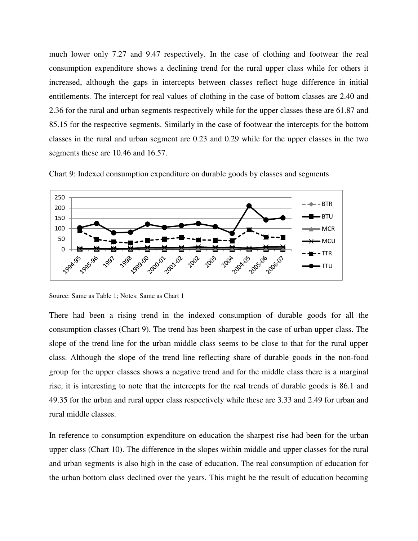much lower only 7.27 and 9.47 respectively. In the case of clothing and footwear the real consumption expenditure shows a declining trend for the rural upper class while for others it increased, although the gaps in intercepts between classes reflect huge difference in initial entitlements. The intercept for real values of clothing in the case of bottom classes are 2.40 and 2.36 for the rural and urban segments respectively while for the upper classes these are 61.87 and 85.15 for the respective segments. Similarly in the case of footwear the intercepts for the bottom classes in the rural and urban segment are 0.23 and 0.29 while for the upper classes in the two segments these are 10.46 and 16.57.





Source: Same as Table 1; Notes: Same as Chart 1

There had been a rising trend in the indexed consumption of durable goods for all the consumption classes (Chart 9). The trend has been sharpest in the case of urban upper class. The slope of the trend line for the urban middle class seems to be close to that for the rural upper class. Although the slope of the trend line reflecting share of durable goods in the non-food group for the upper classes shows a negative trend and for the middle class there is a marginal rise, it is interesting to note that the intercepts for the real trends of durable goods is 86.1 and 49.35 for the urban and rural upper class respectively while these are 3.33 and 2.49 for urban and rural middle classes.

In reference to consumption expenditure on education the sharpest rise had been for the urban upper class (Chart 10). The difference in the slopes within middle and upper classes for the rural and urban segments is also high in the case of education. The real consumption of education for the urban bottom class declined over the years. This might be the result of education becoming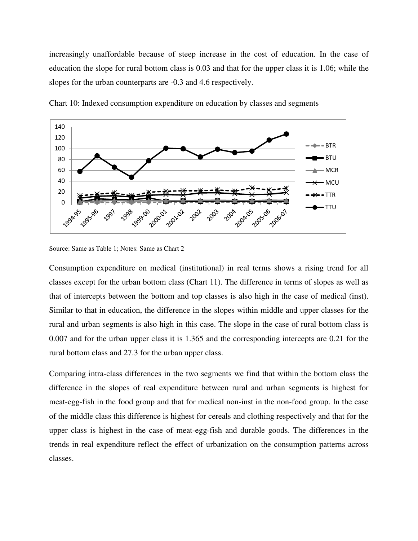increasingly unaffordable because of steep increase in the cost of education. In the case of education the slope for rural bottom class is 0.03 and that for the upper class it is 1.06; while the slopes for the urban counterparts are -0.3 and 4.6 respectively.



Chart 10: Indexed consumption expenditure on education by classes and segments

Source: Same as Table 1; Notes: Same as Chart 2

Consumption expenditure on medical (institutional) in real terms shows a rising trend for all classes except for the urban bottom class (Chart 11). The difference in terms of slopes as well as that of intercepts between the bottom and top classes is also high in the case of medical (inst). Similar to that in education, the difference in the slopes within middle and upper classes for the rural and urban segments is also high in this case. The slope in the case of rural bottom class is 0.007 and for the urban upper class it is 1.365 and the corresponding intercepts are 0.21 for the rural bottom class and 27.3 for the urban upper class.

Comparing intra-class differences in the two segments we find that within the bottom class the difference in the slopes of real expenditure between rural and urban segments is highest for meat-egg-fish in the food group and that for medical non-inst in the non-food group. In the case of the middle class this difference is highest for cereals and clothing respectively and that for the upper class is highest in the case of meat-egg-fish and durable goods. The differences in the trends in real expenditure reflect the effect of urbanization on the consumption patterns across classes.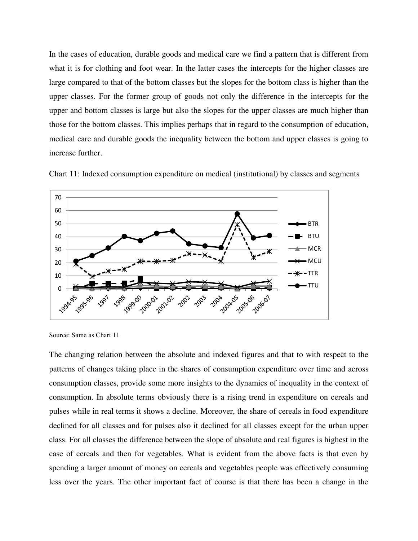In the cases of education, durable goods and medical care we find a pattern that is different from what it is for clothing and foot wear. In the latter cases the intercepts for the higher classes are large compared to that of the bottom classes but the slopes for the bottom class is higher than the upper classes. For the former group of goods not only the difference in the intercepts for the upper and bottom classes is large but also the slopes for the upper classes are much higher than those for the bottom classes. This implies perhaps that in regard to the consumption of education, medical care and durable goods the inequality between the bottom and upper classes is going to increase further.



Chart 11: Indexed consumption expenditure on medical (institutional) by classes and segments

The changing relation between the absolute and indexed figures and that to with respect to the patterns of changes taking place in the shares of consumption expenditure over time and across consumption classes, provide some more insights to the dynamics of inequality in the context of consumption. In absolute terms obviously there is a rising trend in expenditure on cereals and pulses while in real terms it shows a decline. Moreover, the share of cereals in food expenditure declined for all classes and for pulses also it declined for all classes except for the urban upper class. For all classes the difference between the slope of absolute and real figures is highest in the case of cereals and then for vegetables. What is evident from the above facts is that even by spending a larger amount of money on cereals and vegetables people was effectively consuming less over the years. The other important fact of course is that there has been a change in the

Source: Same as Chart 11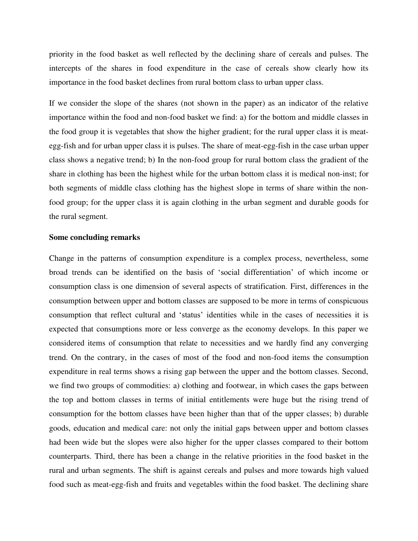priority in the food basket as well reflected by the declining share of cereals and pulses. The intercepts of the shares in food expenditure in the case of cereals show clearly how its importance in the food basket declines from rural bottom class to urban upper class.

If we consider the slope of the shares (not shown in the paper) as an indicator of the relative importance within the food and non-food basket we find: a) for the bottom and middle classes in the food group it is vegetables that show the higher gradient; for the rural upper class it is meategg-fish and for urban upper class it is pulses. The share of meat-egg-fish in the case urban upper class shows a negative trend; b) In the non-food group for rural bottom class the gradient of the share in clothing has been the highest while for the urban bottom class it is medical non-inst; for both segments of middle class clothing has the highest slope in terms of share within the nonfood group; for the upper class it is again clothing in the urban segment and durable goods for the rural segment.

### **Some concluding remarks**

Change in the patterns of consumption expenditure is a complex process, nevertheless, some broad trends can be identified on the basis of 'social differentiation' of which income or consumption class is one dimension of several aspects of stratification. First, differences in the consumption between upper and bottom classes are supposed to be more in terms of conspicuous consumption that reflect cultural and 'status' identities while in the cases of necessities it is expected that consumptions more or less converge as the economy develops. In this paper we considered items of consumption that relate to necessities and we hardly find any converging trend. On the contrary, in the cases of most of the food and non-food items the consumption expenditure in real terms shows a rising gap between the upper and the bottom classes. Second, we find two groups of commodities: a) clothing and footwear, in which cases the gaps between the top and bottom classes in terms of initial entitlements were huge but the rising trend of consumption for the bottom classes have been higher than that of the upper classes; b) durable goods, education and medical care: not only the initial gaps between upper and bottom classes had been wide but the slopes were also higher for the upper classes compared to their bottom counterparts. Third, there has been a change in the relative priorities in the food basket in the rural and urban segments. The shift is against cereals and pulses and more towards high valued food such as meat-egg-fish and fruits and vegetables within the food basket. The declining share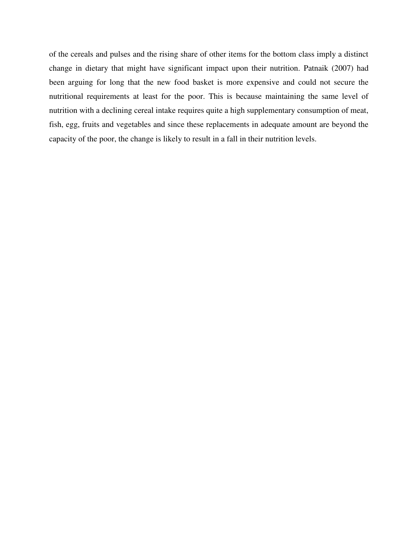of the cereals and pulses and the rising share of other items for the bottom class imply a distinct change in dietary that might have significant impact upon their nutrition. Patnaik (2007) had been arguing for long that the new food basket is more expensive and could not secure the nutritional requirements at least for the poor. This is because maintaining the same level of nutrition with a declining cereal intake requires quite a high supplementary consumption of meat, fish, egg, fruits and vegetables and since these replacements in adequate amount are beyond the capacity of the poor, the change is likely to result in a fall in their nutrition levels.